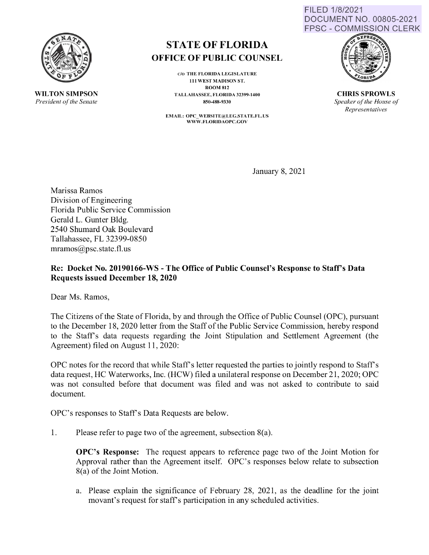

**WILTON SIMPSON**  *President of the Senate* 

# **STATE OF FLORIDA OFFICE OF PUBLIC COUNSEL**

C/0 THE FLORIDA LEGISLATURE 111 WEST MADISON ST. ROOM 812 TALLAHASSEE, FLORIDA 32399-1400 850-488-9330

**EMAIL: OPC\_ WEBSITE@LEG.ST ATE.FL.US WWW.FLORIDAOPC.GOV** 





**CHRIS SPROWLS**  *Speaker of the House of Representatives* 

January 8, 2021

Marissa Ramos Division of Engineering Florida Public Service Commission Gerald L. Gunter Bldg. 2540 Shumard Oak Boulevard Tallahassee, FL 32399-0850 mramos@psc.state.fl.us

## **Re: Docket No. 20190166-WS -The Office of Public Counsel's Response to Staff's Data Requests issued December 18, 2020**

Dear Ms. Ramos,

The Citizens of the State of Florida, by and through the Office of Public Counsel (OPC), pursuant to the December 18, 2020 letter from the Staff of the Public Service Commission, hereby respond to the Staffs data requests regarding the Joint Stipulation and Settlement Agreement (the Agreement) filed on August 11, 2020:

OPC notes for the record that while Staff's letter requested the parties to jointly respond to Staff's data request, HC Waterworks, Inc. (HCW) filed a unilateral response on December 21, 2020; OPC was not consulted before that document was filed and was not asked to contribute to said document.

OPC's responses to Staff's Data Requests are below.

1. Please refer to page two of the agreement, subsection 8(a).

**OPC's Response:** The request appears to reference page two of the Joint Motion for Approval rather than the Agreement itself. OPC's responses below relate to subsection 8(a) of the Joint Motion.

a. Please explain the significance of February 28, 2021, as the deadline for the joint movant's request for staff's participation in any scheduled activities.